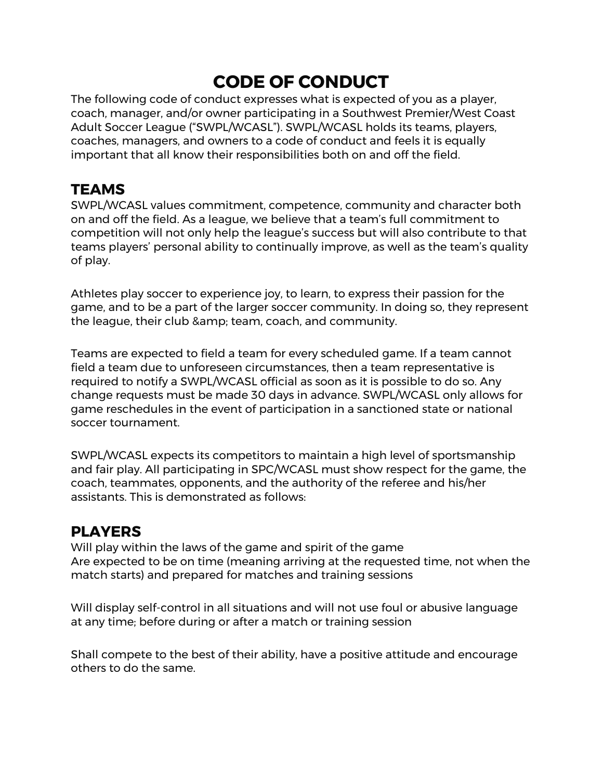## **CODE OF CONDUCT**

The following code of conduct expresses what is expected of you as a player, coach, manager, and/or owner participating in a Southwest Premier/West Coast Adult Soccer League ("SWPL/WCASL"). SWPL/WCASL holds its teams, players, coaches, managers, and owners to a code of conduct and feels it is equally important that all know their responsibilities both on and off the field.

## **TEAMS**

SWPL/WCASL values commitment, competence, community and character both on and off the field. As a league, we believe that a team's full commitment to competition will not only help the league's success but will also contribute to that teams players' personal ability to continually improve, as well as the team's quality of play.

Athletes play soccer to experience joy, to learn, to express their passion for the game, and to be a part of the larger soccer community. In doing so, they represent the league, their club & amp; team, coach, and community.

Teams are expected to field a team for every scheduled game. If a team cannot field a team due to unforeseen circumstances, then a team representative is required to notify a SWPL/WCASL official as soon as it is possible to do so. Any change requests must be made 30 days in advance. SWPL/WCASL only allows for game reschedules in the event of participation in a sanctioned state or national soccer tournament.

SWPL/WCASL expects its competitors to maintain a high level of sportsmanship and fair play. All participating in SPC/WCASL must show respect for the game, the coach, teammates, opponents, and the authority of the referee and his/her assistants. This is demonstrated as follows:

## **PLAYERS**

Will play within the laws of the game and spirit of the game Are expected to be on time (meaning arriving at the requested time, not when the match starts) and prepared for matches and training sessions

Will display self-control in all situations and will not use foul or abusive language at any time; before during or after a match or training session

Shall compete to the best of their ability, have a positive attitude and encourage others to do the same.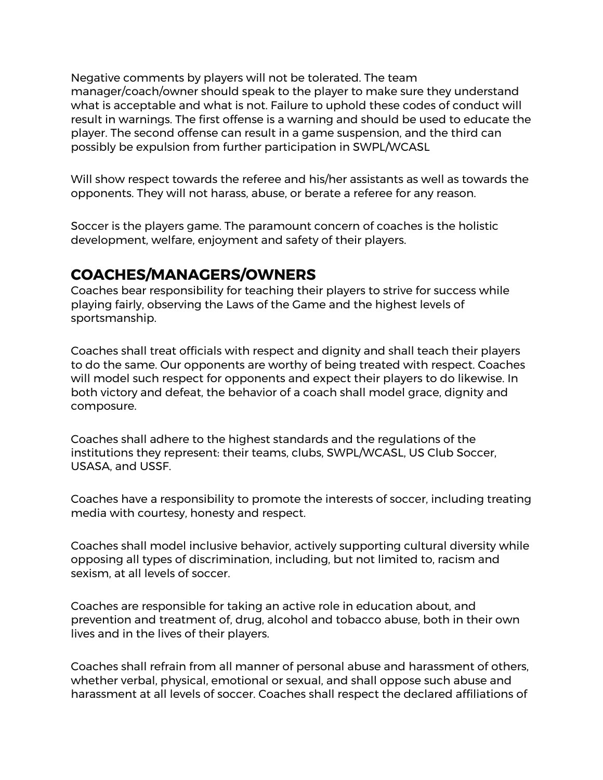Negative comments by players will not be tolerated. The team manager/coach/owner should speak to the player to make sure they understand what is acceptable and what is not. Failure to uphold these codes of conduct will result in warnings. The first offense is a warning and should be used to educate the player. The second offense can result in a game suspension, and the third can possibly be expulsion from further participation in SWPL/WCASL

Will show respect towards the referee and his/her assistants as well as towards the opponents. They will not harass, abuse, or berate a referee for any reason.

Soccer is the players game. The paramount concern of coaches is the holistic development, welfare, enjoyment and safety of their players.

## **COACHES/MANAGERS/OWNERS**

Coaches bear responsibility for teaching their players to strive for success while playing fairly, observing the Laws of the Game and the highest levels of sportsmanship.

Coaches shall treat officials with respect and dignity and shall teach their players to do the same. Our opponents are worthy of being treated with respect. Coaches will model such respect for opponents and expect their players to do likewise. In both victory and defeat, the behavior of a coach shall model grace, dignity and composure.

Coaches shall adhere to the highest standards and the regulations of the institutions they represent: their teams, clubs, SWPL/WCASL, US Club Soccer, USASA, and USSF.

Coaches have a responsibility to promote the interests of soccer, including treating media with courtesy, honesty and respect.

Coaches shall model inclusive behavior, actively supporting cultural diversity while opposing all types of discrimination, including, but not limited to, racism and sexism, at all levels of soccer.

Coaches are responsible for taking an active role in education about, and prevention and treatment of, drug, alcohol and tobacco abuse, both in their own lives and in the lives of their players.

Coaches shall refrain from all manner of personal abuse and harassment of others, whether verbal, physical, emotional or sexual, and shall oppose such abuse and harassment at all levels of soccer. Coaches shall respect the declared affiliations of